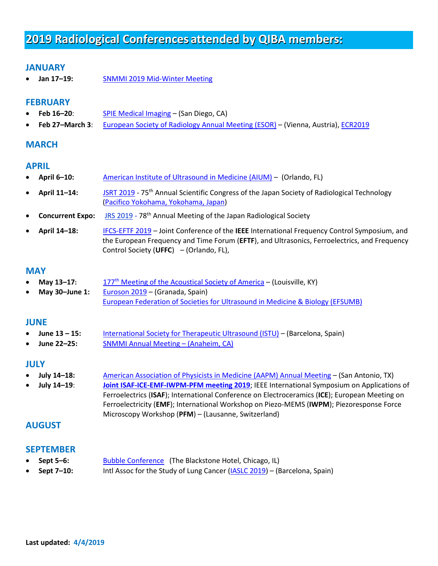# **2019 Radiological Conferences attended by QIBA members:**

# **JANUARY**

• **Jan 17–19:** [SNMMI 2019 Mid-Winter Meeting](http://www.snmmi.org/MeetingsEvents/EventDetail.aspx?EventID=84707)

# **FEBRUARY**

- **Feb 16–20**: [SPIE Medical Imaging](http://www.spie.org/conferences-and-exhibitions?SSO=1) (San Diego, CA)
- **Feb 27–March 3**:[European Society of Radiology Annual Meeting \(ESOR\)](http://www.myesr.org/ecr-2017) (Vienna, Austria), [ECR2019](https://www.myesr.org/congress)

## **MARCH**

## **APRIL**

- **April 6–10:** [American Institute of Ultrasound in Medicine \(AIUM\)](•%09March:%20%20%09%09American%20Institute%20of%20Ultrasound%20in%20Medicine%20(AIUM)%20–) (Orlando, FL)
- **April 11–14:** [JSRT 2019](http://www.showsbee.com/fairs/JSRT-Meeting.html) 75<sup>th</sup> Annual Scientific Congress of the Japan Society of Radiological Technology [\(Pacifico Yokohama, Yokohama, Japan\)](https://www.showsbee.com/company-311-Pacifico-Yokohama.html)
- **Concurrent Expo:** [JRS 2019](https://www.showsbee.com/fairs/Japan-Radiological-Society-Meeting.html) 78th Annual Meeting of the Japan Radiological Society
- **April 14–18:** [IFCS-EFTF 2019](http://ifcs2018.org/sites/ifcs2018.org/files/2018-05/ifcs-eftf2019-cfp-print_no-bleed_0.pdf) Joint Conference of the **IEEE** International Frequency Control Symposium, and the European Frequency and Time Forum (**EFTF**), and Ultrasonics, Ferroelectrics, and Frequency Control Society (**UFFC**) – (Orlando, FL),

## **MAY**

- **May 13–17:** 177th [Meeting of the Acoustical Society of America](http://acousticalsociety.org/asa-meetings/) (Louisville, KY)
- **May 30–June 1:** [Euroson 2019](http://www.efsumb.org/blog/euroson-congress-2019-grenada) (Granada, Spain) [European Federation of Societies for Ultrasound in Medicine & Biology \(EFSUMB\)](https://www.emedevents.com/c/medical-conferences-2019/european-federation-of-societies-for-ultrasound-in-medicine-and-biology-efsumb-euroson-congress-2019-1)

#### **JUNE**

- **June 13 – 15:** [International Society for Therapeutic Ultrasound \(ISTU\)](http://www.istu.org/events/history.aspx) (Barcelona, Spain)
- **June 22–25:** [SNMMI Annual Meeting](http://www.snmmi.org/MeetingsEvents/Content.aspx?ItemNumber=29487)  (Anaheim, CA)

## **JULY**

- **July 14–18:** [American Association of Physicists in Medicine \(AAPM\) Annual Meeting](https://www.aapm.org/meetings/default.asp?tab=1#MeetingsPanel) (San Antonio, TX)
- **July 14–19**: **[Joint ISAF-ICE-EMF-IWPM-PFM](https://ieee-uffc.org/event/2019-joint-ieee-isaf-international-symposium-applications-ferroelectrics-emf-european-meeting-ferroelectricity-pfm-workshop-piezoresponse-force-microscopy/) meeting 2019**; IEEE International Symposium on Applications of Ferroelectrics (**ISAF**); International Conference on Electroceramics (**ICE**); European Meeting on Ferroelectricity (**EMF**); International Workshop on Piezo-MEMS (**IWPM**); Piezoresponse Force Microscopy Workshop (**PFM**) – (Lausanne, Switzerland)

# **AUGUST**

#### **SEPTEMBER**

- **Sept 5–6:** [Bubble Conference \(](https://www.bubbleconference.com/)The Blackstone Hotel, Chicago, IL)
- **Sept 7–10:** Intl Assoc for the Study of Lung Cancer [\(IASLC 2019\)](https://www.iaslc.org/events/iaslc-2019-world-conference-lung-cancer-wclc19) (Barcelona, Spain)